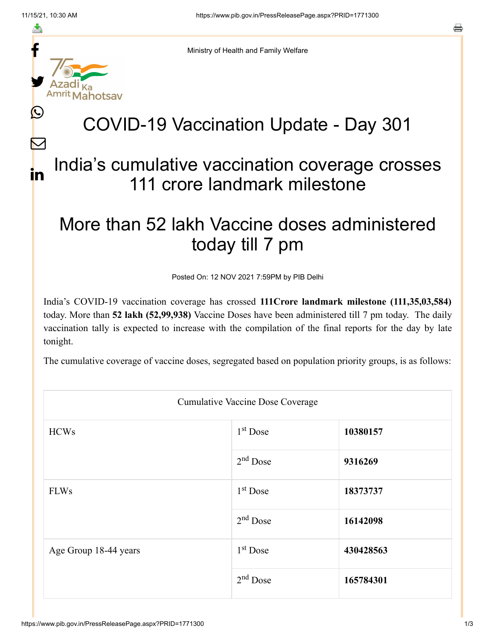f

≛

y.

Ŀ

 $\bm{\nabla}$ 

in



## COVID-19 Vaccination Update - Day 301

## India's cumulative vaccination coverage crosses 111 crore landmark milestone

## More than 52 lakh Vaccine doses administered today till 7 pm

Posted On: 12 NOV 2021 7:59PM by PIB Delhi

India's COVID-19 vaccination coverage has crossed **111Crore landmark milestone (111,35,03,584)** today. More than **52 lakh (52,99,938)** Vaccine Doses have been administered till 7 pm today. The daily vaccination tally is expected to increase with the compilation of the final reports for the day by late tonight.

The cumulative coverage of vaccine doses, segregated based on population priority groups, is as follows:

| Cumulative Vaccine Dose Coverage |                      |           |  |  |
|----------------------------------|----------------------|-----------|--|--|
| <b>HCWs</b>                      | 1 <sup>st</sup> Dose | 10380157  |  |  |
|                                  | $2nd$ Dose           | 9316269   |  |  |
| <b>FLWs</b>                      | 1 <sup>st</sup> Dose | 18373737  |  |  |
|                                  | $2nd$ Dose           | 16142098  |  |  |
| Age Group 18-44 years            | $1st$ Dose           | 430428563 |  |  |
|                                  | $2nd$ Dose           | 165784301 |  |  |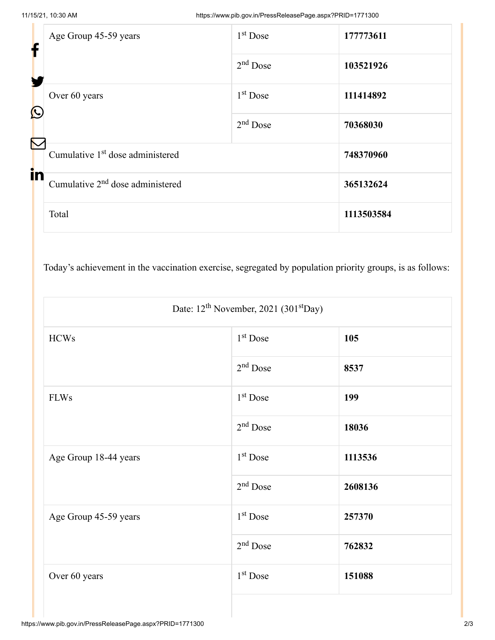| f        | Age Group 45-59 years                        | 1 <sup>st</sup> Dose | 177773611  |
|----------|----------------------------------------------|----------------------|------------|
|          |                                              | $2nd$ Dose           | 103521926  |
|          | Over 60 years<br>$\bigcirc$                  | 1 <sup>st</sup> Dose | 111414892  |
| $\nabla$ |                                              | $2nd$ Dose           | 70368030   |
| in       | Cumulative 1 <sup>st</sup> dose administered |                      | 748370960  |
|          | Cumulative $2nd$ dose administered           |                      | 365132624  |
|          | Total                                        |                      | 1113503584 |

Today's achievement in the vaccination exercise, segregated by population priority groups, is as follows:

| Date: $12^{th}$ November, 2021 (301 <sup>st</sup> Day) |            |         |  |  |
|--------------------------------------------------------|------------|---------|--|--|
| <b>HCWs</b>                                            | $1st$ Dose | 105     |  |  |
|                                                        | $2nd$ Dose | 8537    |  |  |
| <b>FLWs</b>                                            | $1st$ Dose | 199     |  |  |
|                                                        | $2nd$ Dose | 18036   |  |  |
| Age Group 18-44 years                                  | $1st$ Dose | 1113536 |  |  |
|                                                        | $2nd$ Dose | 2608136 |  |  |
| Age Group 45-59 years                                  | $1st$ Dose | 257370  |  |  |
|                                                        | $2nd$ Dose | 762832  |  |  |
| Over 60 years                                          | $1st$ Dose | 151088  |  |  |
|                                                        |            |         |  |  |